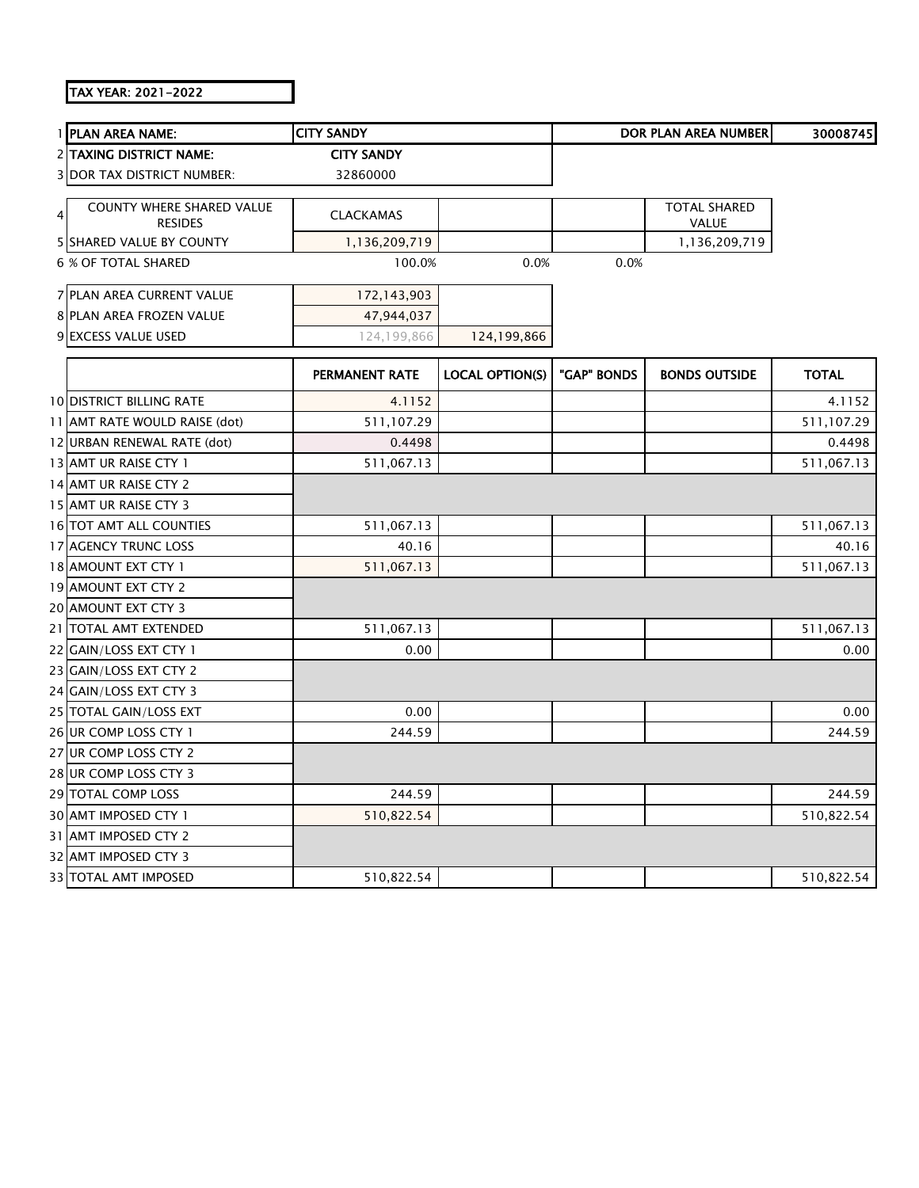## TAX YEAR: 2021-2022

|   | 1 PLAN AREA NAME:                 | <b>CITY SANDY</b> |                        |             | DOR PLAN AREA NUMBER | 30008745     |
|---|-----------------------------------|-------------------|------------------------|-------------|----------------------|--------------|
|   | 2 TAXING DISTRICT NAME:           | <b>CITY SANDY</b> |                        |             |                      |              |
|   | <b>3 DOR TAX DISTRICT NUMBER:</b> | 32860000          |                        |             |                      |              |
|   | COUNTY WHERE SHARED VALUE         |                   |                        |             | <b>TOTAL SHARED</b>  |              |
| 4 | <b>RESIDES</b>                    | <b>CLACKAMAS</b>  |                        |             | <b>VALUE</b>         |              |
|   | 5 SHARED VALUE BY COUNTY          | 1,136,209,719     |                        |             | 1,136,209,719        |              |
|   | 6 % OF TOTAL SHARED               | 100.0%            | 0.0%                   | 0.0%        |                      |              |
|   | 7 PLAN AREA CURRENT VALUE         | 172,143,903       |                        |             |                      |              |
|   | 8 PLAN AREA FROZEN VALUE          | 47,944,037        |                        |             |                      |              |
|   | 9 EXCESS VALUE USED               | 124,199,866       | 124,199,866            |             |                      |              |
|   |                                   | PERMANENT RATE    | <b>LOCAL OPTION(S)</b> | "GAP" BONDS | <b>BONDS OUTSIDE</b> | <b>TOTAL</b> |
|   | <b>10 DISTRICT BILLING RATE</b>   | 4.1152            |                        |             |                      | 4.1152       |
|   | 11 AMT RATE WOULD RAISE (dot)     | 511,107.29        |                        |             |                      | 511,107.29   |
|   | 12 URBAN RENEWAL RATE (dot)       | 0.4498            |                        |             |                      | 0.4498       |
|   | 13 AMT UR RAISE CTY 1             | 511,067.13        |                        |             |                      | 511,067.13   |
|   | 14 AMT UR RAISE CTY 2             |                   |                        |             |                      |              |
|   | 15 AMT UR RAISE CTY 3             |                   |                        |             |                      |              |
|   | 16 TOT AMT ALL COUNTIES           | 511,067.13        |                        |             |                      | 511,067.13   |
|   | 17 AGENCY TRUNC LOSS              | 40.16             |                        |             |                      | 40.16        |
|   | 18 AMOUNT EXT CTY 1               | 511,067.13        |                        |             |                      | 511,067.13   |
|   | 19 AMOUNT EXT CTY 2               |                   |                        |             |                      |              |
|   | 20 AMOUNT EXT CTY 3               |                   |                        |             |                      |              |
|   | 21 TOTAL AMT EXTENDED             | 511,067.13        |                        |             |                      | 511,067.13   |
|   | 22 GAIN/LOSS EXT CTY 1            | 0.00              |                        |             |                      | 0.00         |
|   | 23 GAIN/LOSS EXT CTY 2            |                   |                        |             |                      |              |
|   | 24 GAIN/LOSS EXT CTY 3            |                   |                        |             |                      |              |
|   | 25 TOTAL GAIN/LOSS EXT            | 0.00              |                        |             |                      | 0.00         |
|   | 26 UR COMP LOSS CTY 1             | 244.59            |                        |             |                      | 244.59       |
|   | 27 UR COMP LOSS CTY 2             |                   |                        |             |                      |              |
|   | 28 UR COMP LOSS CTY 3             |                   |                        |             |                      |              |
|   | 29 TOTAL COMP LOSS                | 244.59            |                        |             |                      | 244.59       |
|   | 30 AMT IMPOSED CTY 1              | 510,822.54        |                        |             |                      | 510,822.54   |
|   | 31 AMT IMPOSED CTY 2              |                   |                        |             |                      |              |
|   | 32 AMT IMPOSED CTY 3              |                   |                        |             |                      |              |
|   | <b>33 TOTAL AMT IMPOSED</b>       | 510,822.54        |                        |             |                      | 510,822.54   |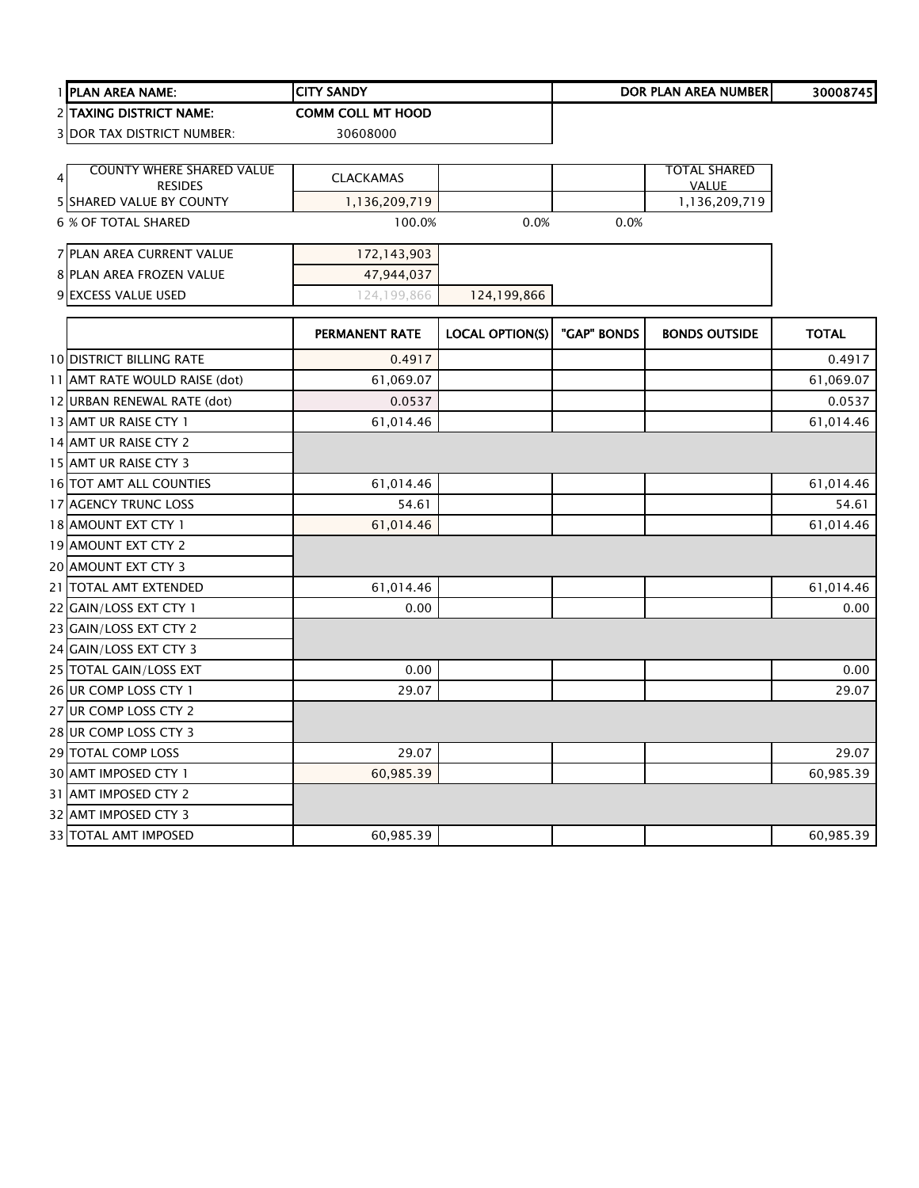|   | 1 PLAN AREA NAME:                                  | <b>CITY SANDY</b>        |                        |             | <b>DOR PLAN AREA NUMBER</b>         | 30008745     |
|---|----------------------------------------------------|--------------------------|------------------------|-------------|-------------------------------------|--------------|
|   | 2 TAXING DISTRICT NAME:                            | <b>COMM COLL MT HOOD</b> |                        |             |                                     |              |
|   | <b>3 DOR TAX DISTRICT NUMBER:</b>                  | 30608000                 |                        |             |                                     |              |
|   |                                                    |                          |                        |             |                                     |              |
| 4 | <b>COUNTY WHERE SHARED VALUE</b><br><b>RESIDES</b> | <b>CLACKAMAS</b>         |                        |             | <b>TOTAL SHARED</b><br><b>VALUE</b> |              |
|   | 5 SHARED VALUE BY COUNTY                           | 1,136,209,719            |                        |             | 1,136,209,719                       |              |
|   | 6 % OF TOTAL SHARED                                | 100.0%                   | 0.0%                   | 0.0%        |                                     |              |
|   | <b>7 PLAN AREA CURRENT VALUE</b>                   | 172,143,903              |                        |             |                                     |              |
|   | 8 PLAN AREA FROZEN VALUE                           | 47,944,037               |                        |             |                                     |              |
|   | 9 EXCESS VALUE USED                                | 124,199,866              | 124,199,866            |             |                                     |              |
|   |                                                    | PERMANENT RATE           | <b>LOCAL OPTION(S)</b> | "GAP" BONDS | <b>BONDS OUTSIDE</b>                | <b>TOTAL</b> |
|   | <b>10 DISTRICT BILLING RATE</b>                    | 0.4917                   |                        |             |                                     | 0.4917       |
|   | 11 AMT RATE WOULD RAISE (dot)                      | 61,069.07                |                        |             |                                     | 61,069.07    |
|   | 12 URBAN RENEWAL RATE (dot)                        | 0.0537                   |                        |             |                                     | 0.0537       |
|   | 13 AMT UR RAISE CTY 1                              | 61,014.46                |                        |             |                                     | 61,014.46    |
|   | 14 AMT UR RAISE CTY 2                              |                          |                        |             |                                     |              |
|   | 15 AMT UR RAISE CTY 3                              |                          |                        |             |                                     |              |
|   | 16 TOT AMT ALL COUNTIES                            | 61,014.46                |                        |             |                                     | 61,014.46    |
|   | 17 AGENCY TRUNC LOSS                               | 54.61                    |                        |             |                                     | 54.61        |
|   | 18 AMOUNT EXT CTY 1                                | 61,014.46                |                        |             |                                     | 61,014.46    |
|   | 19 AMOUNT EXT CTY 2                                |                          |                        |             |                                     |              |
|   | 20 AMOUNT EXT CTY 3                                |                          |                        |             |                                     |              |
|   | 21   TOTAL AMT EXTENDED                            | 61,014.46                |                        |             |                                     | 61,014.46    |
|   | 22 GAIN/LOSS EXT CTY 1                             | 0.00                     |                        |             |                                     | 0.00         |
|   | 23 GAIN/LOSS EXT CTY 2                             |                          |                        |             |                                     |              |
|   | 24 GAIN/LOSS EXT CTY 3                             |                          |                        |             |                                     |              |
|   | 25 TOTAL GAIN/LOSS EXT                             | 0.00                     |                        |             |                                     | 0.00         |
|   | 26 UR COMP LOSS CTY 1                              | 29.07                    |                        |             |                                     | 29.07        |
|   | 27 UR COMP LOSS CTY 2                              |                          |                        |             |                                     |              |
|   | 28 UR COMP LOSS CTY 3                              |                          |                        |             |                                     |              |
|   | 29 TOTAL COMP LOSS                                 | 29.07                    |                        |             |                                     | 29.07        |
|   | 30 AMT IMPOSED CTY 1                               | 60,985.39                |                        |             |                                     | 60,985.39    |
|   | 31 AMT IMPOSED CTY 2                               |                          |                        |             |                                     |              |
|   | 32 AMT IMPOSED CTY 3                               |                          |                        |             |                                     |              |
|   | 33 TOTAL AMT IMPOSED                               | 60,985.39                |                        |             |                                     | 60,985.39    |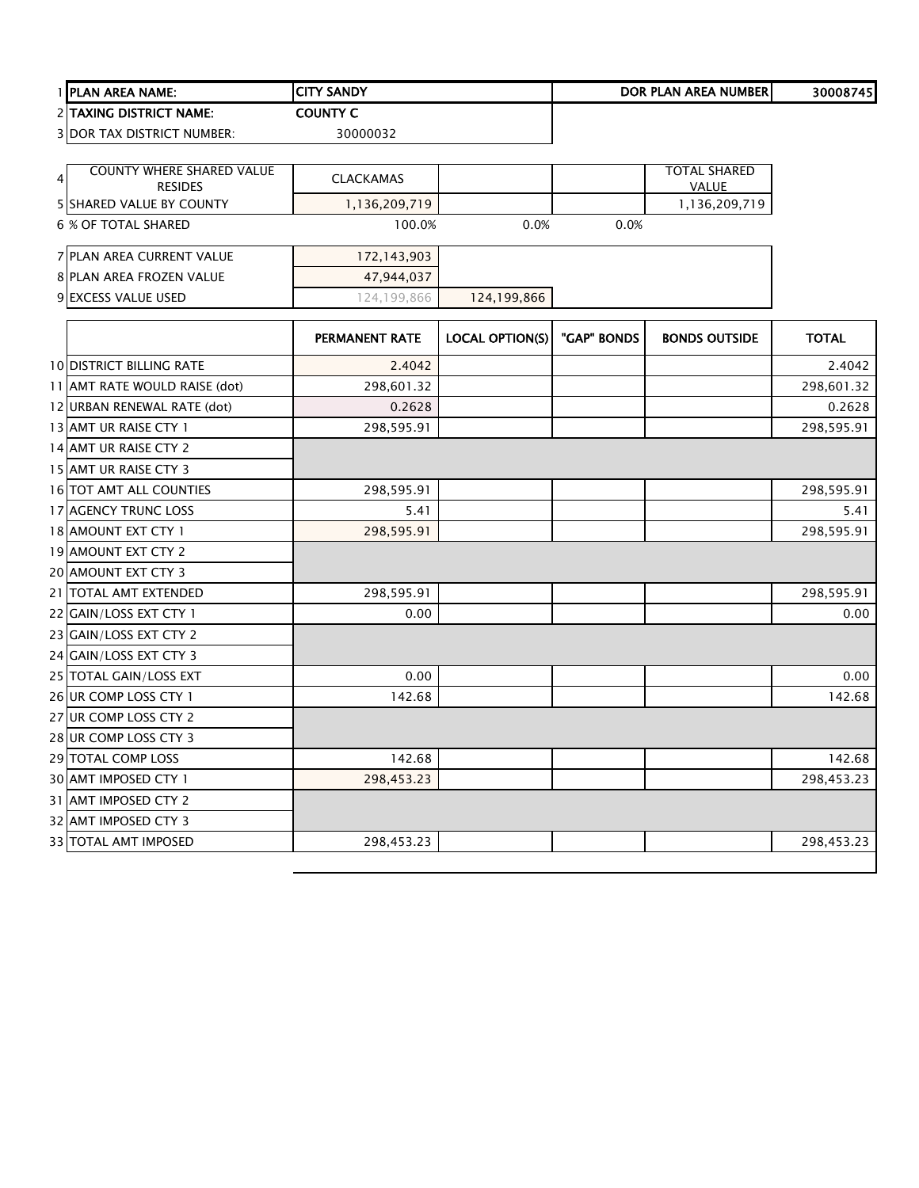|   | 1 PLAN AREA NAME:                          | <b>CITY SANDY</b> |                        |             | <b>DOR PLAN AREA NUMBER</b>   | 30008745     |
|---|--------------------------------------------|-------------------|------------------------|-------------|-------------------------------|--------------|
|   | <b>2 TAXING DISTRICT NAME:</b>             | <b>COUNTY C</b>   |                        |             |                               |              |
|   | <b>3 DOR TAX DISTRICT NUMBER:</b>          | 30000032          |                        |             |                               |              |
|   |                                            |                   |                        |             |                               |              |
| 4 | COUNTY WHERE SHARED VALUE                  | <b>CLACKAMAS</b>  |                        |             | <b>TOTAL SHARED</b>           |              |
|   | <b>RESIDES</b><br>5 SHARED VALUE BY COUNTY | 1,136,209,719     |                        |             | <b>VALUE</b><br>1,136,209,719 |              |
|   | 6 % OF TOTAL SHARED                        | 100.0%            | 0.0%                   | 0.0%        |                               |              |
|   |                                            |                   |                        |             |                               |              |
|   | 7 PLAN AREA CURRENT VALUE                  | 172,143,903       |                        |             |                               |              |
|   | 8 PLAN AREA FROZEN VALUE                   | 47,944,037        |                        |             |                               |              |
|   | 9 EXCESS VALUE USED                        | 124,199,866       | 124,199,866            |             |                               |              |
|   |                                            |                   |                        |             |                               |              |
|   |                                            | PERMANENT RATE    | <b>LOCAL OPTION(S)</b> | "GAP" BONDS | <b>BONDS OUTSIDE</b>          | <b>TOTAL</b> |
|   | <b>10 DISTRICT BILLING RATE</b>            | 2.4042            |                        |             |                               | 2.4042       |
|   | 11 AMT RATE WOULD RAISE (dot)              | 298,601.32        |                        |             |                               | 298,601.32   |
|   | 12 URBAN RENEWAL RATE (dot)                | 0.2628            |                        |             |                               | 0.2628       |
|   | 13 AMT UR RAISE CTY 1                      | 298,595.91        |                        |             |                               | 298,595.91   |
|   | 14 AMT UR RAISE CTY 2                      |                   |                        |             |                               |              |
|   | 15 AMT UR RAISE CTY 3                      |                   |                        |             |                               |              |
|   | 16 TOT AMT ALL COUNTIES                    | 298,595.91        |                        |             |                               | 298,595.91   |
|   | 17 AGENCY TRUNC LOSS                       | 5.41              |                        |             |                               | 5.41         |
|   | 18 AMOUNT EXT CTY 1                        | 298,595.91        |                        |             |                               | 298,595.91   |
|   | 19 AMOUNT EXT CTY 2                        |                   |                        |             |                               |              |
|   | 20 AMOUNT EXT CTY 3                        |                   |                        |             |                               |              |
|   | 21 TOTAL AMT EXTENDED                      | 298,595.91        |                        |             |                               | 298,595.91   |
|   | 22 GAIN/LOSS EXT CTY 1                     | 0.00              |                        |             |                               | 0.00         |
|   | 23 GAIN/LOSS EXT CTY 2                     |                   |                        |             |                               |              |
|   | 24 GAIN/LOSS EXT CTY 3                     |                   |                        |             |                               |              |
|   | 25 TOTAL GAIN/LOSS EXT                     | 0.00              |                        |             |                               | 0.00         |
|   | 26 UR COMP LOSS CTY 1                      | 142.68            |                        |             |                               | 142.68       |
|   | 27 UR COMP LOSS CTY 2                      |                   |                        |             |                               |              |
|   | 28 UR COMP LOSS CTY 3                      |                   |                        |             |                               |              |
|   | 29 TOTAL COMP LOSS                         | 142.68            |                        |             |                               | 142.68       |
|   | 30 AMT IMPOSED CTY 1                       | 298,453.23        |                        |             |                               | 298,453.23   |
|   | 31 AMT IMPOSED CTY 2                       |                   |                        |             |                               |              |
|   | 32 AMT IMPOSED CTY 3                       |                   |                        |             |                               |              |
|   | 33 TOTAL AMT IMPOSED                       | 298,453.23        |                        |             |                               | 298,453.23   |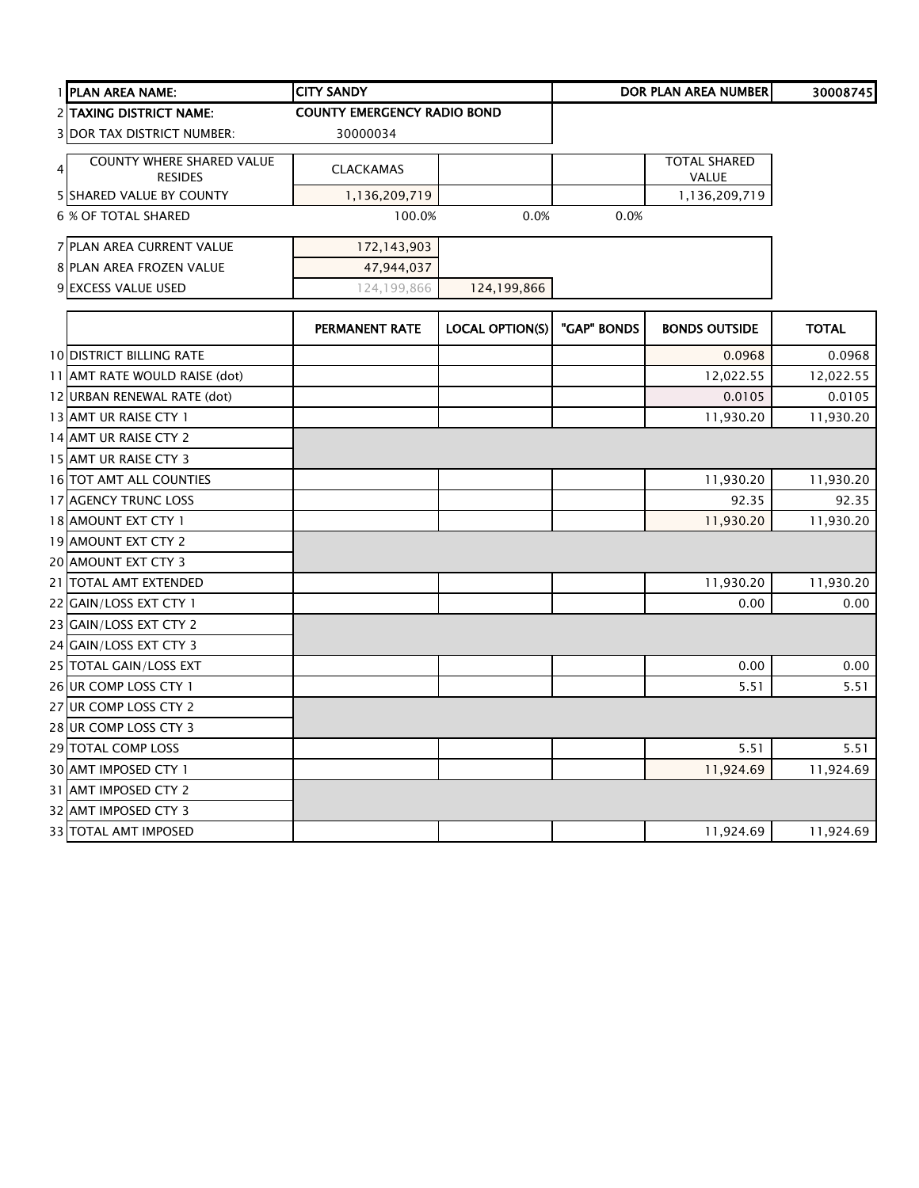| 1 PLAN AREA NAME:                                                    | <b>CITY SANDY</b>                  |                        |             | <b>DOR PLAN AREA NUMBER</b>  | 30008745     |
|----------------------------------------------------------------------|------------------------------------|------------------------|-------------|------------------------------|--------------|
| <b>2 TAXING DISTRICT NAME:</b>                                       | <b>COUNTY EMERGENCY RADIO BOND</b> |                        |             |                              |              |
| <b>3 DOR TAX DISTRICT NUMBER:</b>                                    | 30000034                           |                        |             |                              |              |
| <b>COUNTY WHERE SHARED VALUE</b><br>$\overline{4}$<br><b>RESIDES</b> | <b>CLACKAMAS</b>                   |                        |             | <b>TOTAL SHARED</b><br>VALUE |              |
| <b>5 SHARED VALUE BY COUNTY</b>                                      | 1,136,209,719                      |                        |             | 1,136,209,719                |              |
| <b>6 % OF TOTAL SHARED</b>                                           | 100.0%                             | 0.0%                   | 0.0%        |                              |              |
| 7 PLAN AREA CURRENT VALUE                                            | 172,143,903                        |                        |             |                              |              |
| 8 PLAN AREA FROZEN VALUE                                             | 47,944,037                         |                        |             |                              |              |
| 9 EXCESS VALUE USED                                                  | 124,199,866                        | 124,199,866            |             |                              |              |
|                                                                      | PERMANENT RATE                     | <b>LOCAL OPTION(S)</b> | "GAP" BONDS | <b>BONDS OUTSIDE</b>         | <b>TOTAL</b> |
| <b>10 DISTRICT BILLING RATE</b>                                      |                                    |                        |             | 0.0968                       | 0.0968       |
| 11 AMT RATE WOULD RAISE (dot)                                        |                                    |                        |             | 12,022.55                    | 12,022.55    |
| 12 URBAN RENEWAL RATE (dot)                                          |                                    |                        |             | 0.0105                       | 0.0105       |
| 13 AMT UR RAISE CTY 1                                                |                                    |                        |             | 11,930.20                    | 11,930.20    |
| 14 AMT UR RAISE CTY 2                                                |                                    |                        |             |                              |              |
| 15 AMT UR RAISE CTY 3                                                |                                    |                        |             |                              |              |
| 16 TOT AMT ALL COUNTIES                                              |                                    |                        |             | 11,930.20                    | 11,930.20    |
| 17 AGENCY TRUNC LOSS                                                 |                                    |                        |             | 92.35                        | 92.35        |
| 18 AMOUNT EXT CTY 1                                                  |                                    |                        |             | 11,930.20                    | 11,930.20    |
| 19 AMOUNT EXT CTY 2                                                  |                                    |                        |             |                              |              |
| 20 AMOUNT EXT CTY 3                                                  |                                    |                        |             |                              |              |
| 21 TOTAL AMT EXTENDED                                                |                                    |                        |             | 11,930.20                    | 11,930.20    |
| 22 GAIN/LOSS EXT CTY 1                                               |                                    |                        |             | 0.00                         | 0.00         |
| 23 GAIN/LOSS EXT CTY 2                                               |                                    |                        |             |                              |              |
| 24 GAIN/LOSS EXT CTY 3                                               |                                    |                        |             |                              |              |
| 25 TOTAL GAIN/LOSS EXT                                               |                                    |                        |             | 0.00                         | 0.00         |
| 26 UR COMP LOSS CTY 1                                                |                                    |                        |             | 5.51                         | 5.51         |
| 27 UR COMP LOSS CTY 2                                                |                                    |                        |             |                              |              |
| 28 UR COMP LOSS CTY 3                                                |                                    |                        |             |                              |              |
| 29 TOTAL COMP LOSS                                                   |                                    |                        |             | 5.51                         | 5.51         |
| 30 AMT IMPOSED CTY 1                                                 |                                    |                        |             | 11,924.69                    | 11,924.69    |
| 31 AMT IMPOSED CTY 2                                                 |                                    |                        |             |                              |              |
| 32 AMT IMPOSED CTY 3                                                 |                                    |                        |             |                              |              |
| 33 TOTAL AMT IMPOSED                                                 |                                    |                        |             | 11,924.69                    | 11,924.69    |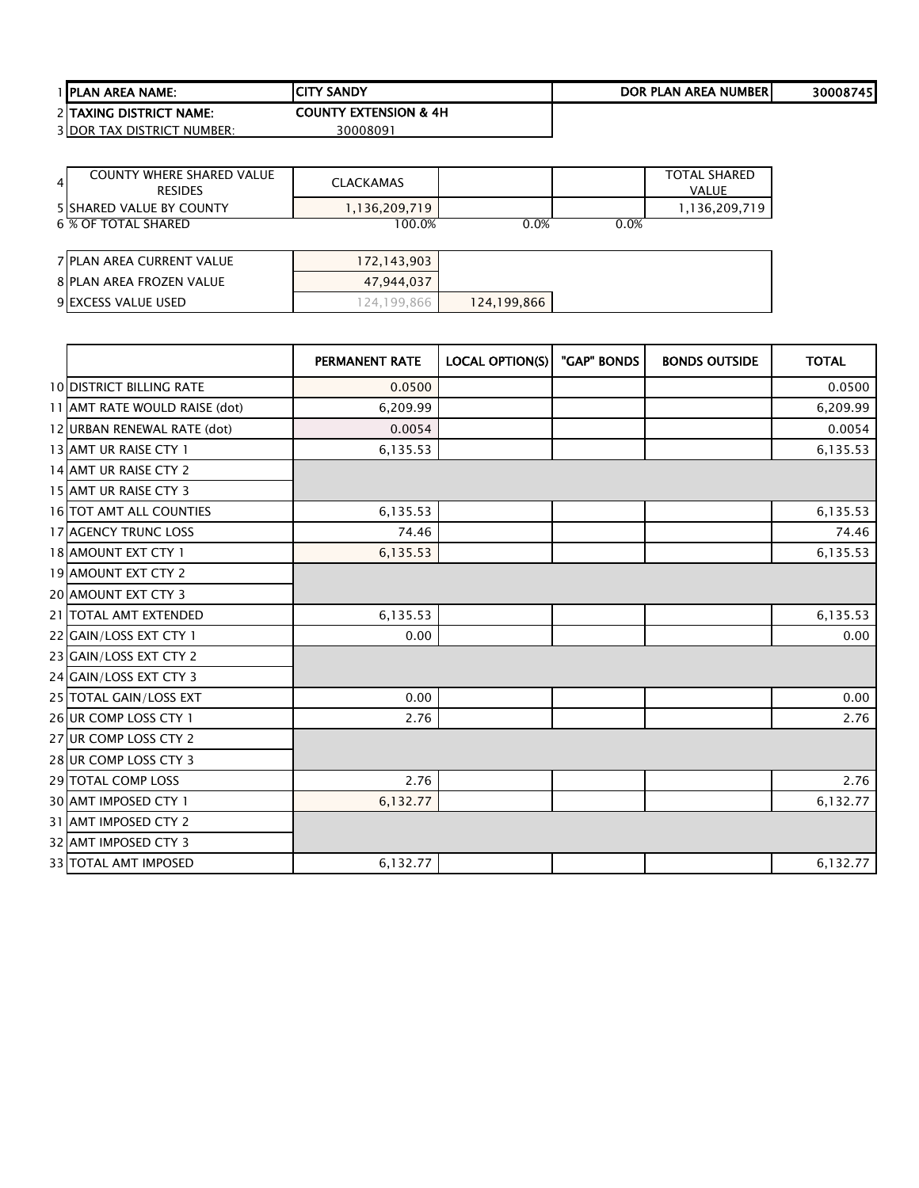| <b>I IPLAN AREA NAME:</b> |                                   | <b>ICITY SANDY</b>               | DOR PLAN AREA NUMBERI | 300087451 |
|---------------------------|-----------------------------------|----------------------------------|-----------------------|-----------|
|                           | 2 TAXING DISTRICT NAME:           | <b>COUNTY EXTENSION &amp; 4H</b> |                       |           |
|                           | <b>3IDOR TAX DISTRICT NUMBER:</b> | 30008091                         |                       |           |

| <b>COUNTY WHERE SHARED VALUE</b><br>$\overline{4}$<br><b>RESIDES</b> | <b>CLACKAMAS</b> |             |      | <b>TOTAL SHARED</b><br><b>VALUE</b> |
|----------------------------------------------------------------------|------------------|-------------|------|-------------------------------------|
| <b>5 SHARED VALUE BY COUNTY</b>                                      | 1,136,209,719    |             |      | 1,136,209,719                       |
| 6 % OF TOTAL SHARED                                                  | 100.0%           | 0.0%        | 0.0% |                                     |
|                                                                      |                  |             |      |                                     |
| <b>7 PLAN AREA CURRENT VALUE</b>                                     | 172,143,903      |             |      |                                     |
| <b>8 PLAN AREA FROZEN VALUE</b>                                      | 47,944,037       |             |      |                                     |
| 9 EXCESS VALUE USED                                                  | 124,199,866      | 124,199,866 |      |                                     |

|                                 | <b>PERMANENT RATE</b> | <b>LOCAL OPTION(S)</b> | "GAP" BONDS | <b>BONDS OUTSIDE</b> | <b>TOTAL</b> |
|---------------------------------|-----------------------|------------------------|-------------|----------------------|--------------|
| <b>10 DISTRICT BILLING RATE</b> | 0.0500                |                        |             |                      | 0.0500       |
| 11 AMT RATE WOULD RAISE (dot)   | 6,209.99              |                        |             |                      | 6,209.99     |
| 12 URBAN RENEWAL RATE (dot)     | 0.0054                |                        |             |                      | 0.0054       |
| 13 AMT UR RAISE CTY 1           | 6,135.53              |                        |             |                      | 6,135.53     |
| 14 AMT UR RAISE CTY 2           |                       |                        |             |                      |              |
| 15 AMT UR RAISE CTY 3           |                       |                        |             |                      |              |
| <b>16 TOT AMT ALL COUNTIES</b>  | 6,135.53              |                        |             |                      | 6,135.53     |
| <b>17 AGENCY TRUNC LOSS</b>     | 74.46                 |                        |             |                      | 74.46        |
| 18 AMOUNT EXT CTY 1             | 6,135.53              |                        |             |                      | 6,135.53     |
| 19 AMOUNT EXT CTY 2             |                       |                        |             |                      |              |
| 20 AMOUNT EXT CTY 3             |                       |                        |             |                      |              |
| 21 TOTAL AMT EXTENDED           | 6,135.53              |                        |             |                      | 6,135.53     |
| 22 GAIN/LOSS EXT CTY 1          | 0.00                  |                        |             |                      | 0.00         |
| 23 GAIN/LOSS EXT CTY 2          |                       |                        |             |                      |              |
| 24 GAIN/LOSS EXT CTY 3          |                       |                        |             |                      |              |
| 25 TOTAL GAIN/LOSS EXT          | 0.00                  |                        |             |                      | 0.00         |
| 26 UR COMP LOSS CTY 1           | 2.76                  |                        |             |                      | 2.76         |
| 27 UR COMP LOSS CTY 2           |                       |                        |             |                      |              |
| 28 UR COMP LOSS CTY 3           |                       |                        |             |                      |              |
| 29 TOTAL COMP LOSS              | 2.76                  |                        |             |                      | 2.76         |
| 30 AMT IMPOSED CTY 1            | 6,132.77              |                        |             |                      | 6,132.77     |
| 31 AMT IMPOSED CTY 2            |                       |                        |             |                      |              |
| 32 AMT IMPOSED CTY 3            |                       |                        |             |                      |              |
| <b>33 TOTAL AMT IMPOSED</b>     | 6,132.77              |                        |             |                      | 6,132.77     |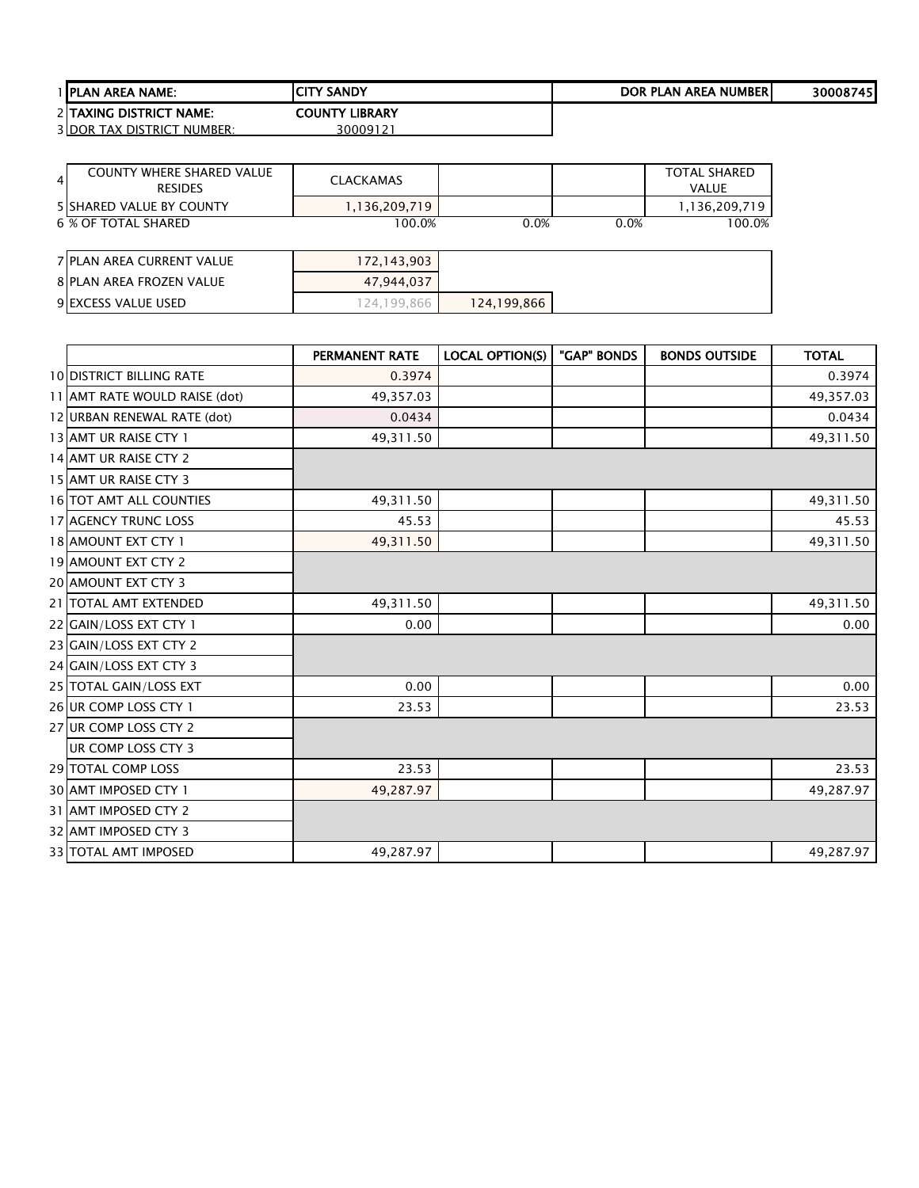| <b>1 PLAN AREA NAME:</b>          | <b>ICITY SANDY</b>       | DOR PLAN AREA NUMBERI | 30008745 |
|-----------------------------------|--------------------------|-----------------------|----------|
| 2 ITAXING DISTRICT NAME:          | <b>LIBRARY</b><br>COUNTY |                       |          |
| <b>3IDOR TAX DISTRICT NUMBER:</b> | 3000912                  |                       |          |

| 4                                | <b>COUNTY WHERE SHARED VALUE</b><br><b>RESIDES</b> | <b>CLACKAMAS</b> |             |      | <b>TOTAL SHARED</b><br><b>VALUE</b> |
|----------------------------------|----------------------------------------------------|------------------|-------------|------|-------------------------------------|
| <b>5 ISHARED VALUE BY COUNTY</b> |                                                    | 1,136,209,719    |             |      | 1,136,209,719                       |
| 6 % OF TOTAL SHARED              |                                                    | 100.0%           | 0.0%        | 0.0% | 100.0%                              |
|                                  |                                                    |                  |             |      |                                     |
| <b>7 PLAN AREA CURRENT VALUE</b> |                                                    | 172,143,903      |             |      |                                     |
| 8 PLAN AREA FROZEN VALUE         |                                                    | 47,944,037       |             |      |                                     |
| 9 EXCESS VALUE USED              |                                                    | 124,199,866      | 124,199,866 |      |                                     |

|                                 | <b>PERMANENT RATE</b> | <b>LOCAL OPTION(S)</b> | "GAP" BONDS | <b>BONDS OUTSIDE</b> | <b>TOTAL</b> |
|---------------------------------|-----------------------|------------------------|-------------|----------------------|--------------|
| <b>10 DISTRICT BILLING RATE</b> | 0.3974                |                        |             |                      | 0.3974       |
| 11 AMT RATE WOULD RAISE (dot)   | 49,357.03             |                        |             |                      | 49,357.03    |
| 12 URBAN RENEWAL RATE (dot)     | 0.0434                |                        |             |                      | 0.0434       |
| 13 AMT UR RAISE CTY 1           | 49,311.50             |                        |             |                      | 49,311.50    |
| 14 AMT UR RAISE CTY 2           |                       |                        |             |                      |              |
| 15 AMT UR RAISE CTY 3           |                       |                        |             |                      |              |
| <b>16 TOT AMT ALL COUNTIES</b>  | 49,311.50             |                        |             |                      | 49,311.50    |
| <b>17 AGENCY TRUNC LOSS</b>     | 45.53                 |                        |             |                      | 45.53        |
| 18 AMOUNT EXT CTY 1             | 49,311.50             |                        |             |                      | 49,311.50    |
| <b>19 AMOUNT EXT CTY 2</b>      |                       |                        |             |                      |              |
| <b>20 AMOUNT EXT CTY 3</b>      |                       |                        |             |                      |              |
| 21 TOTAL AMT EXTENDED           | 49,311.50             |                        |             |                      | 49,311.50    |
| 22 GAIN/LOSS EXT CTY 1          | 0.00                  |                        |             |                      | 0.00         |
| 23 GAIN/LOSS EXT CTY 2          |                       |                        |             |                      |              |
| 24 GAIN/LOSS EXT CTY 3          |                       |                        |             |                      |              |
| 25 TOTAL GAIN/LOSS EXT          | 0.00                  |                        |             |                      | 0.00         |
| 26 UR COMP LOSS CTY 1           | 23.53                 |                        |             |                      | 23.53        |
| 27 UR COMP LOSS CTY 2           |                       |                        |             |                      |              |
| UR COMP LOSS CTY 3              |                       |                        |             |                      |              |
| 29 TOTAL COMP LOSS              | 23.53                 |                        |             |                      | 23.53        |
| 30 AMT IMPOSED CTY 1            | 49,287.97             |                        |             |                      | 49,287.97    |
| 31 AMT IMPOSED CTY 2            |                       |                        |             |                      |              |
| 32 AMT IMPOSED CTY 3            |                       |                        |             |                      |              |
| <b>33 TOTAL AMT IMPOSED</b>     | 49,287.97             |                        |             |                      | 49,287.97    |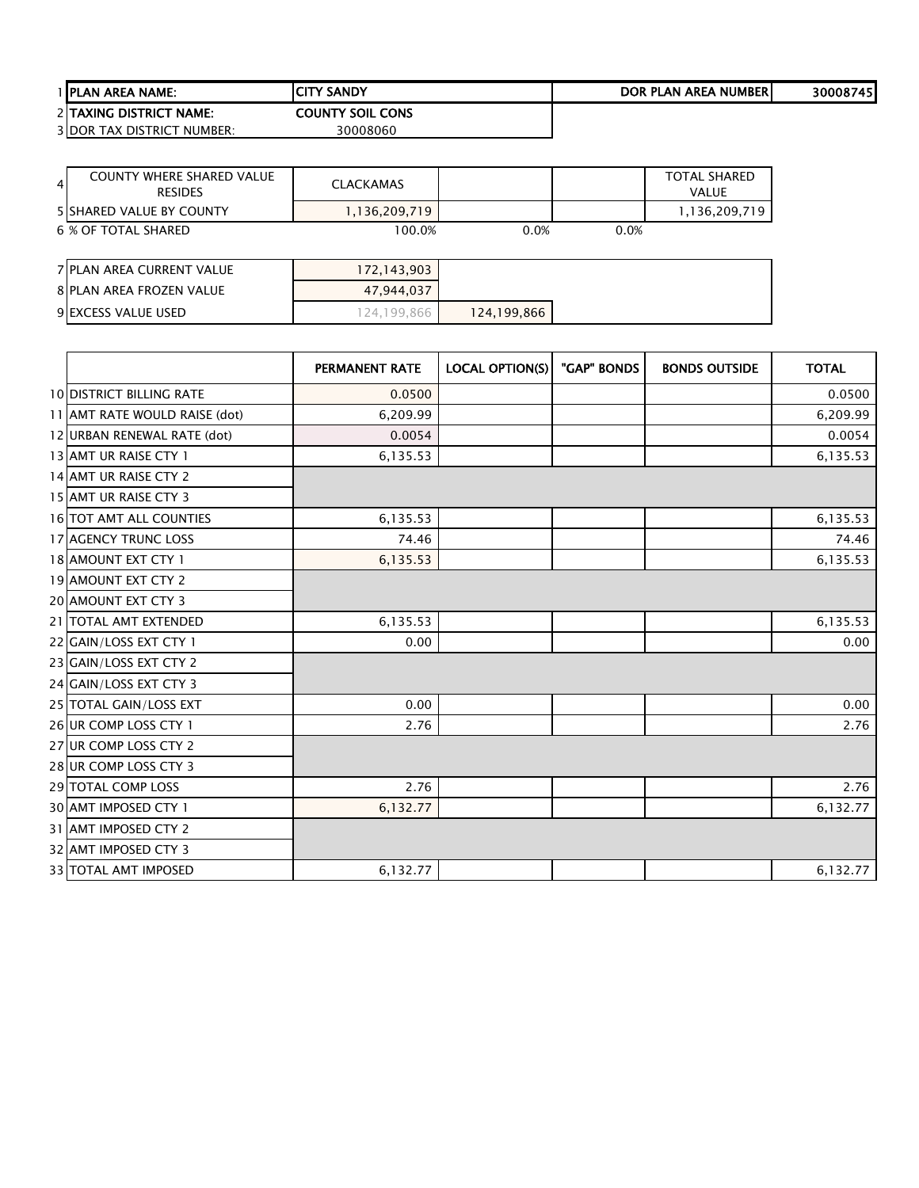| <b>1 IPLAN AREA NAME:</b>   | <b>CITY SANDY</b>       | DOR PLAN AREA NUMBERI | 30008745 |
|-----------------------------|-------------------------|-----------------------|----------|
| 2 ITAXING DISTRICT NAME:    | <b>COUNTY SOIL CONS</b> |                       |          |
| 3 IDOR TAX DISTRICT NUMBER: | 30008060                |                       |          |

| <b>COUNTY WHERE SHARED VALUE</b><br>$\overline{4}$<br><b>RESIDES</b> | <b>CLACKAMAS</b> |             |      | <b>TOTAL SHARED</b><br><b>VALUE</b> |
|----------------------------------------------------------------------|------------------|-------------|------|-------------------------------------|
| <b>5 ISHARED VALUE BY COUNTY</b>                                     | 1,136,209,719    |             |      | 1,136,209,719                       |
| 6 % OF TOTAL SHARED                                                  | 100.0%           | 0.0%        | 0.0% |                                     |
|                                                                      |                  |             |      |                                     |
| <b>7 PLAN AREA CURRENT VALUE</b>                                     | 172,143,903      |             |      |                                     |
| <b>8 PLAN AREA FROZEN VALUE</b>                                      | 47.944.037       |             |      |                                     |
| 9 EXCESS VALUE USED                                                  | 124,199,866      | 124,199,866 |      |                                     |

|                                 | <b>PERMANENT RATE</b> | <b>LOCAL OPTION(S)</b> | "GAP" BONDS | <b>BONDS OUTSIDE</b> | <b>TOTAL</b> |
|---------------------------------|-----------------------|------------------------|-------------|----------------------|--------------|
| <b>10 DISTRICT BILLING RATE</b> | 0.0500                |                        |             |                      | 0.0500       |
| 11 AMT RATE WOULD RAISE (dot)   | 6,209.99              |                        |             |                      | 6,209.99     |
| 12 URBAN RENEWAL RATE (dot)     | 0.0054                |                        |             |                      | 0.0054       |
| 13 AMT UR RAISE CTY 1           | 6,135.53              |                        |             |                      | 6,135.53     |
| 14 AMT UR RAISE CTY 2           |                       |                        |             |                      |              |
| 15 AMT UR RAISE CTY 3           |                       |                        |             |                      |              |
| <b>16 TOT AMT ALL COUNTIES</b>  | 6,135.53              |                        |             |                      | 6,135.53     |
| 17 AGENCY TRUNC LOSS            | 74.46                 |                        |             |                      | 74.46        |
| 18 AMOUNT EXT CTY 1             | 6,135.53              |                        |             |                      | 6,135.53     |
| <b>19 AMOUNT EXT CTY 2</b>      |                       |                        |             |                      |              |
| 20 AMOUNT EXT CTY 3             |                       |                        |             |                      |              |
| 21 TOTAL AMT EXTENDED           | 6,135.53              |                        |             |                      | 6,135.53     |
| 22 GAIN/LOSS EXT CTY 1          | 0.00                  |                        |             |                      | 0.00         |
| 23 GAIN/LOSS EXT CTY 2          |                       |                        |             |                      |              |
| 24 GAIN/LOSS EXT CTY 3          |                       |                        |             |                      |              |
| 25 TOTAL GAIN/LOSS EXT          | 0.00                  |                        |             |                      | 0.00         |
| 26 UR COMP LOSS CTY 1           | 2.76                  |                        |             |                      | 2.76         |
| 27 UR COMP LOSS CTY 2           |                       |                        |             |                      |              |
| 28 UR COMP LOSS CTY 3           |                       |                        |             |                      |              |
| 29 TOTAL COMP LOSS              | 2.76                  |                        |             |                      | 2.76         |
| 30 AMT IMPOSED CTY 1            | 6,132.77              |                        |             |                      | 6,132.77     |
| 31 AMT IMPOSED CTY 2            |                       |                        |             |                      |              |
| 32 AMT IMPOSED CTY 3            |                       |                        |             |                      |              |
| <b>33 TOTAL AMT IMPOSED</b>     | 6,132.77              |                        |             |                      | 6,132.77     |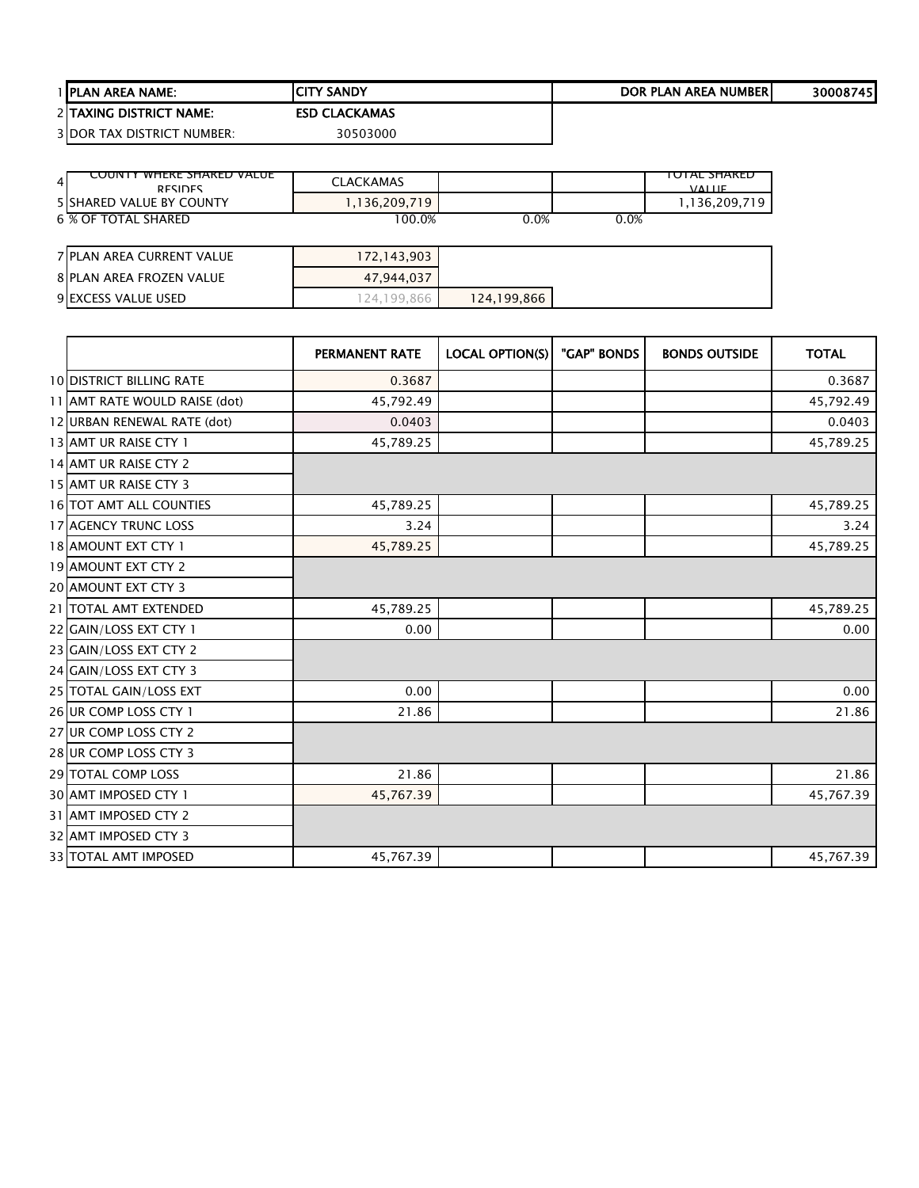| <b>I IPLAN AREA NAME:</b>         | ICITY SANDY          | DOR PLAN AREA NUMBERI | 30008745 |
|-----------------------------------|----------------------|-----------------------|----------|
| <b>2 ITAXING DISTRICT NAME:</b>   | <b>ESD CLACKAMAS</b> |                       |          |
| <b>3IDOR TAX DISTRICT NUMBER:</b> | 30503000             |                       |          |

| <b>COUNTY WHEKE SHAKED VALUE</b><br>4<br><b>DESIDES</b> | <b>CLACKAMAS</b> |             |      | TOTAL SHAKED<br><b>VALUE</b> |
|---------------------------------------------------------|------------------|-------------|------|------------------------------|
| <b>5 ISHARED VALUE BY COUNTY</b>                        | 1,136,209,719    |             |      | 1,136,209,719                |
| 6 % OF TOTAL SHARED                                     | 100.0%           | 0.0%        | 0.0% |                              |
|                                                         |                  |             |      |                              |
| 7 PLAN AREA CURRENT VALUE                               | 172,143,903      |             |      |                              |
| 8 PLAN AREA FROZEN VALUE                                | 47.944.037       |             |      |                              |
| 9 EXCESS VALUE USED                                     | 124.199.866      | 124,199,866 |      |                              |

|                                 | <b>PERMANENT RATE</b> | <b>LOCAL OPTION(S)</b> | "GAP" BONDS | <b>BONDS OUTSIDE</b> | <b>TOTAL</b> |
|---------------------------------|-----------------------|------------------------|-------------|----------------------|--------------|
| <b>10 DISTRICT BILLING RATE</b> | 0.3687                |                        |             |                      | 0.3687       |
| 11 AMT RATE WOULD RAISE (dot)   | 45,792.49             |                        |             |                      | 45,792.49    |
| 12 URBAN RENEWAL RATE (dot)     | 0.0403                |                        |             |                      | 0.0403       |
| 13 AMT UR RAISE CTY 1           | 45,789.25             |                        |             |                      | 45,789.25    |
| 14 AMT UR RAISE CTY 2           |                       |                        |             |                      |              |
| 15 AMT UR RAISE CTY 3           |                       |                        |             |                      |              |
| 16 TOT AMT ALL COUNTIES         | 45,789.25             |                        |             |                      | 45,789.25    |
| <b>17 AGENCY TRUNC LOSS</b>     | 3.24                  |                        |             |                      | 3.24         |
| 18 AMOUNT EXT CTY 1             | 45,789.25             |                        |             |                      | 45,789.25    |
| 19 AMOUNT EXT CTY 2             |                       |                        |             |                      |              |
| 20 AMOUNT EXT CTY 3             |                       |                        |             |                      |              |
| 21 TOTAL AMT EXTENDED           | 45,789.25             |                        |             |                      | 45,789.25    |
| 22 GAIN/LOSS EXT CTY 1          | 0.00                  |                        |             |                      | 0.00         |
| 23 GAIN/LOSS EXT CTY 2          |                       |                        |             |                      |              |
| 24 GAIN/LOSS EXT CTY 3          |                       |                        |             |                      |              |
| 25 TOTAL GAIN/LOSS EXT          | 0.00                  |                        |             |                      | 0.00         |
| 26 UR COMP LOSS CTY 1           | 21.86                 |                        |             |                      | 21.86        |
| 27 UR COMP LOSS CTY 2           |                       |                        |             |                      |              |
| 28 UR COMP LOSS CTY 3           |                       |                        |             |                      |              |
| 29 TOTAL COMP LOSS              | 21.86                 |                        |             |                      | 21.86        |
| 30 AMT IMPOSED CTY 1            | 45,767.39             |                        |             |                      | 45,767.39    |
| 31 AMT IMPOSED CTY 2            |                       |                        |             |                      |              |
| 32 AMT IMPOSED CTY 3            |                       |                        |             |                      |              |
| <b>33 TOTAL AMT IMPOSED</b>     | 45,767.39             |                        |             |                      | 45,767.39    |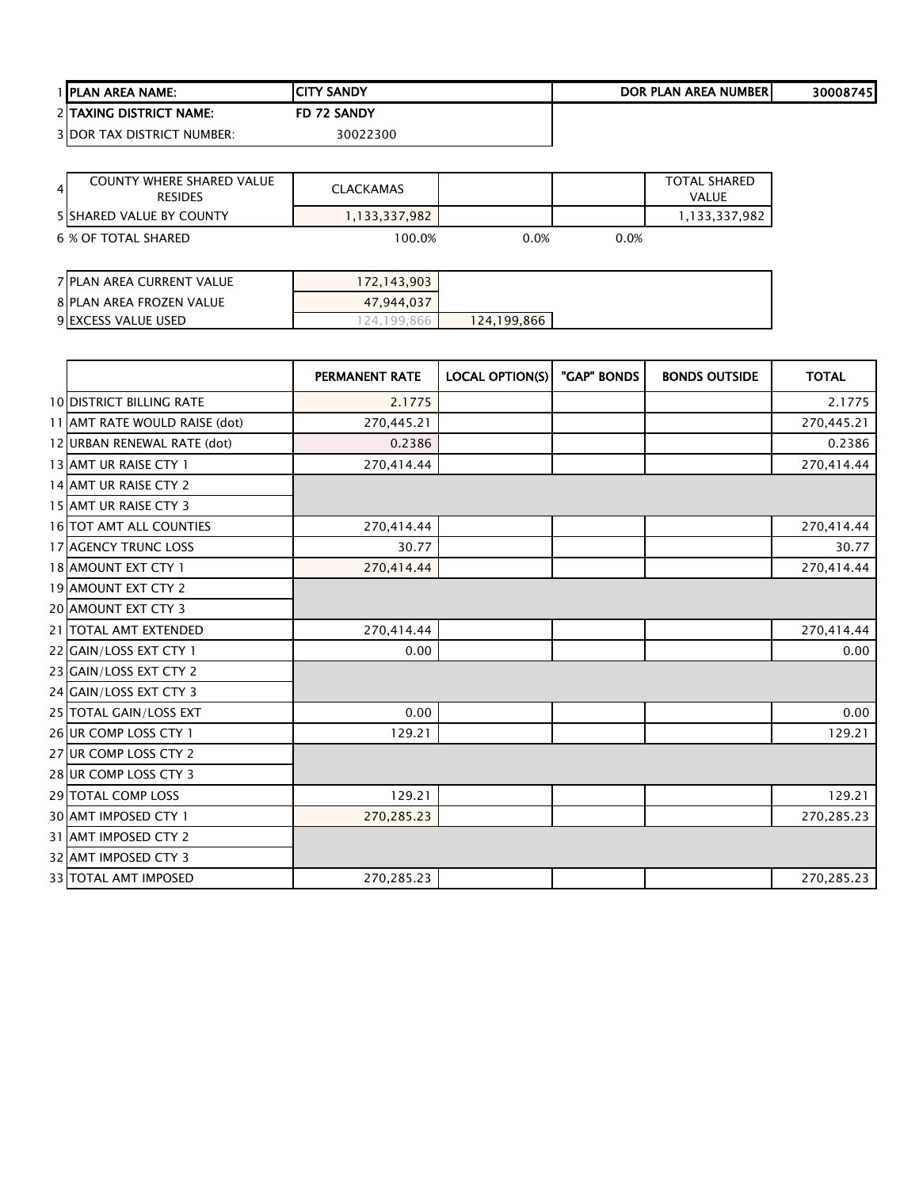| <b>I IPLAN AREA NAME:</b>         | <b>ICITY SANDY</b> | DOR PLAN AREA NUMBERI | 30008745 |
|-----------------------------------|--------------------|-----------------------|----------|
| <b>2ITAXING DISTRICT NAME:</b>    | FD 72 SANDY        |                       |          |
| <b>3 DOR TAX DISTRICT NUMBER:</b> | 30022300           |                       |          |

| $\overline{4}$ | <b>COUNTY WHERE SHARED VALUE</b><br><b>RESIDES</b> | <b>CLACKAMAS</b> |      |      | <b>TOTAL SHARED</b><br>VALUE |
|----------------|----------------------------------------------------|------------------|------|------|------------------------------|
|                | <b>SISHARED VALUE BY COUNTY</b>                    | 1,133,337,982    |      |      | 1,133,337,982                |
|                | 6 % OF TOTAL SHARED                                | 100.0%           | 0.0% | 0.0% |                              |
|                |                                                    |                  |      |      |                              |
|                | 7 PLAN AREA CURRENT VALUE                          | 172,143,903      |      |      |                              |
|                | <b>8 PLAN AREA FROZEN VALUE</b>                    | 47,944,037       |      |      |                              |

**EXCESS VALUE USED** 124,199,866 124,199,866

|                                 | PERMANENT RATE | <b>LOCAL OPTION(S)</b> | "GAP" BONDS | <b>BONDS OUTSIDE</b> | <b>TOTAL</b> |
|---------------------------------|----------------|------------------------|-------------|----------------------|--------------|
| <b>10 DISTRICT BILLING RATE</b> | 2.1775         |                        |             |                      | 2.1775       |
| 11 AMT RATE WOULD RAISE (dot)   | 270,445.21     |                        |             |                      | 270,445.21   |
| 12 URBAN RENEWAL RATE (dot)     | 0.2386         |                        |             |                      | 0.2386       |
| 13 AMT UR RAISE CTY 1           | 270,414.44     |                        |             |                      | 270,414.44   |
| 14 AMT UR RAISE CTY 2           |                |                        |             |                      |              |
| 15 AMT UR RAISE CTY 3           |                |                        |             |                      |              |
| 16 TOT AMT ALL COUNTIES         | 270,414.44     |                        |             |                      | 270,414.44   |
| <b>17 AGENCY TRUNC LOSS</b>     | 30.77          |                        |             |                      | 30.77        |
| 18 AMOUNT EXT CTY 1             | 270,414.44     |                        |             |                      | 270,414.44   |
| 19 AMOUNT EXT CTY 2             |                |                        |             |                      |              |
| 20 AMOUNT EXT CTY 3             |                |                        |             |                      |              |
| 21 TOTAL AMT EXTENDED           | 270,414.44     |                        |             |                      | 270,414.44   |
| 22 GAIN/LOSS EXT CTY 1          | 0.00           |                        |             |                      | 0.00         |
| 23 GAIN/LOSS EXT CTY 2          |                |                        |             |                      |              |
| 24 GAIN/LOSS EXT CTY 3          |                |                        |             |                      |              |
| 25 TOTAL GAIN/LOSS EXT          | 0.00           |                        |             |                      | 0.00         |
| 26 UR COMP LOSS CTY 1           | 129.21         |                        |             |                      | 129.21       |
| 27 UR COMP LOSS CTY 2           |                |                        |             |                      |              |
| 28 UR COMP LOSS CTY 3           |                |                        |             |                      |              |
| 29 TOTAL COMP LOSS              | 129.21         |                        |             |                      | 129.21       |
| 30 AMT IMPOSED CTY 1            | 270,285.23     |                        |             |                      | 270,285.23   |
| 31 AMT IMPOSED CTY 2            |                |                        |             |                      |              |
| 32 AMT IMPOSED CTY 3            |                |                        |             |                      |              |
| 33 TOTAL AMT IMPOSED            | 270,285.23     |                        |             |                      | 270,285.23   |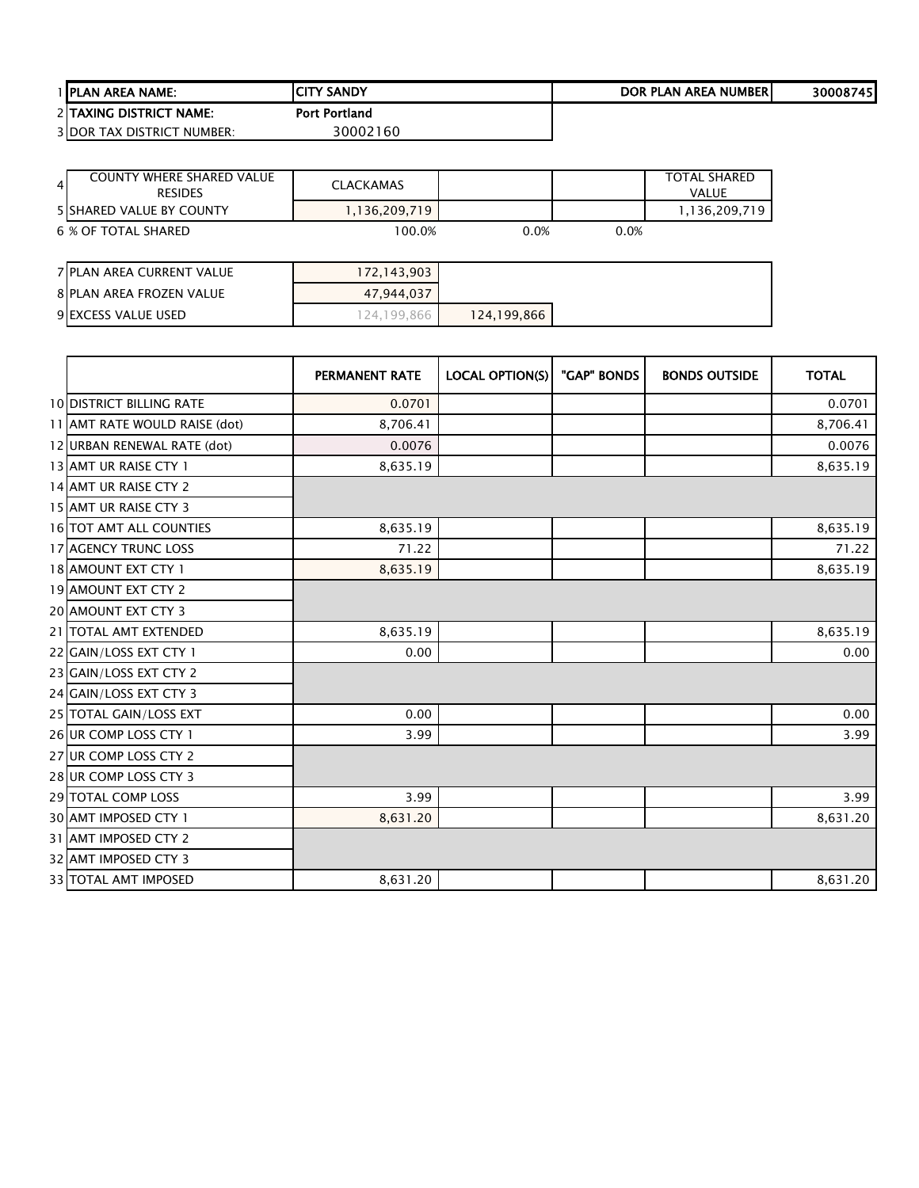| <b>1 IPLAN AREA NAME:</b>         | ICITY SANDY          | DOR PLAN AREA NUMBERI | 30008745 |
|-----------------------------------|----------------------|-----------------------|----------|
| 2 ITAXING DISTRICT NAME:          | <b>Port Portland</b> |                       |          |
| <b>3IDOR TAX DISTRICT NUMBER:</b> | 30002160             |                       |          |

| <b>COUNTY WHERE SHARED VALUE</b><br>$\overline{4}$<br><b>RESIDES</b> | <b>CLACKAMAS</b> |             |      | <b>TOTAL SHARED</b><br><b>VALUE</b> |
|----------------------------------------------------------------------|------------------|-------------|------|-------------------------------------|
| <b>5 SHARED VALUE BY COUNTY</b>                                      | 1,136,209,719    |             |      | 1,136,209,719                       |
| 6 % OF TOTAL SHARED                                                  | 100.0%           | 0.0%        | 0.0% |                                     |
|                                                                      |                  |             |      |                                     |
| 7 PLAN AREA CURRENT VALUE                                            | 172,143,903      |             |      |                                     |
| 8 PLAN AREA FROZEN VALUE                                             | 47,944,037       |             |      |                                     |
| 9 EXCESS VALUE USED                                                  | 124,199,866      | 124,199,866 |      |                                     |

|                                 | <b>PERMANENT RATE</b> | <b>LOCAL OPTION(S)</b> | "GAP" BONDS | <b>BONDS OUTSIDE</b> | <b>TOTAL</b> |
|---------------------------------|-----------------------|------------------------|-------------|----------------------|--------------|
| <b>10 DISTRICT BILLING RATE</b> | 0.0701                |                        |             |                      | 0.0701       |
| 11 AMT RATE WOULD RAISE (dot)   | 8,706.41              |                        |             |                      | 8,706.41     |
| 12 URBAN RENEWAL RATE (dot)     | 0.0076                |                        |             |                      | 0.0076       |
| 13 AMT UR RAISE CTY 1           | 8,635.19              |                        |             |                      | 8,635.19     |
| 14 AMT UR RAISE CTY 2           |                       |                        |             |                      |              |
| 15 AMT UR RAISE CTY 3           |                       |                        |             |                      |              |
| 16 TOT AMT ALL COUNTIES         | 8,635.19              |                        |             |                      | 8,635.19     |
| 17 AGENCY TRUNC LOSS            | 71.22                 |                        |             |                      | 71.22        |
| 18 AMOUNT EXT CTY 1             | 8,635.19              |                        |             |                      | 8,635.19     |
| 19 AMOUNT EXT CTY 2             |                       |                        |             |                      |              |
| <b>20 AMOUNT EXT CTY 3</b>      |                       |                        |             |                      |              |
| 21 TOTAL AMT EXTENDED           | 8,635.19              |                        |             |                      | 8,635.19     |
| 22 GAIN/LOSS EXT CTY 1          | 0.00                  |                        |             |                      | 0.00         |
| 23 GAIN/LOSS EXT CTY 2          |                       |                        |             |                      |              |
| 24 GAIN/LOSS EXT CTY 3          |                       |                        |             |                      |              |
| 25 TOTAL GAIN/LOSS EXT          | 0.00                  |                        |             |                      | 0.00         |
| 26 UR COMP LOSS CTY 1           | 3.99                  |                        |             |                      | 3.99         |
| 27 UR COMP LOSS CTY 2           |                       |                        |             |                      |              |
| 28 UR COMP LOSS CTY 3           |                       |                        |             |                      |              |
| <b>29 TOTAL COMP LOSS</b>       | 3.99                  |                        |             |                      | 3.99         |
| <b>30 AMT IMPOSED CTY 1</b>     | 8,631.20              |                        |             |                      | 8,631.20     |
| 31 AMT IMPOSED CTY 2            |                       |                        |             |                      |              |
| 32 AMT IMPOSED CTY 3            |                       |                        |             |                      |              |
| 33 TOTAL AMT IMPOSED            | 8,631.20              |                        |             |                      | 8,631.20     |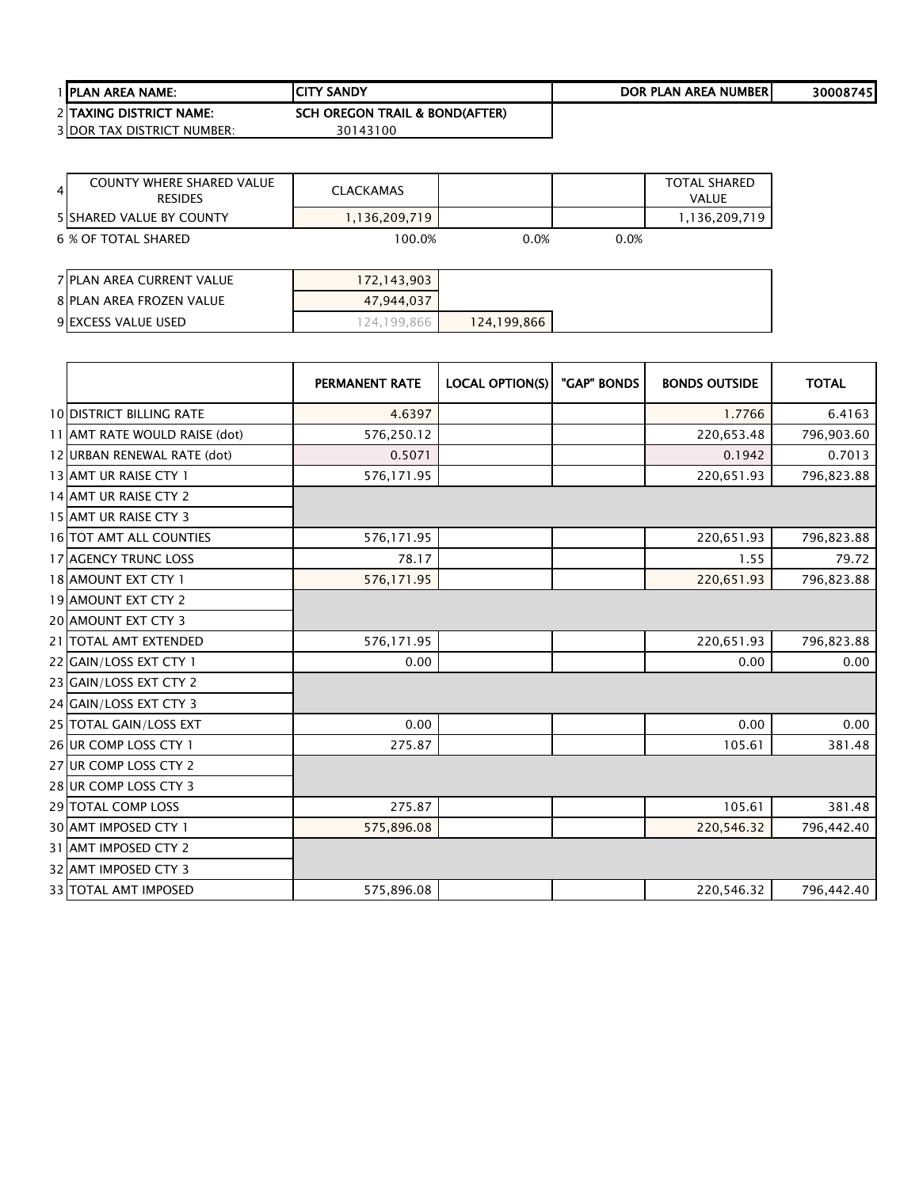| <b>I IPLAN AREA NAME:</b>         | <b>ICITY SANDY</b>                        | DOR PLAN AREA NUMBERI | 300087451 |
|-----------------------------------|-------------------------------------------|-----------------------|-----------|
| 2 TAXING DISTRICT NAME:           | <b>SCH OREGON TRAIL &amp; BOND(AFTER)</b> |                       |           |
| <b>3 DOR TAX DISTRICT NUMBER:</b> | 30143100                                  |                       |           |

| <b>COUNTY WHERE SHARED VALUE</b><br>4<br><b>RESIDES</b> | <b>CLACKAMAS</b> |      |      | <b>TOTAL SHARED</b><br>VALUE |
|---------------------------------------------------------|------------------|------|------|------------------------------|
| <b>5 ISHARED VALUE BY COUNTY</b>                        | 1,136,209,719    |      |      | 1,136,209,719                |
| 6 % OF TOTAL SHARED                                     | 100.0%           | 0.0% | 0.0% |                              |

| 7 PLAN AREA CURRENT VALUE | 172, 143, 903 |             |  |
|---------------------------|---------------|-------------|--|
| 8 PLAN AREA FROZEN VALUE  | 47,944,037    |             |  |
| 9 EXCESS VALUE USED       | 124.199.866   | 124,199,866 |  |

|                                 | <b>PERMANENT RATE</b> | <b>LOCAL OPTION(S)</b> | "GAP" BONDS | <b>BONDS OUTSIDE</b> | <b>TOTAL</b> |
|---------------------------------|-----------------------|------------------------|-------------|----------------------|--------------|
| <b>10 DISTRICT BILLING RATE</b> | 4.6397                |                        |             | 1.7766               | 6.4163       |
| 11 AMT RATE WOULD RAISE (dot)   | 576,250.12            |                        |             | 220,653.48           | 796,903.60   |
| 12 URBAN RENEWAL RATE (dot)     | 0.5071                |                        |             | 0.1942               | 0.7013       |
| 13 AMT UR RAISE CTY 1           | 576,171.95            |                        |             | 220,651.93           | 796,823.88   |
| 14 AMT UR RAISE CTY 2           |                       |                        |             |                      |              |
| 15 AMT UR RAISE CTY 3           |                       |                        |             |                      |              |
| <b>16 TOT AMT ALL COUNTIES</b>  | 576,171.95            |                        |             | 220,651.93           | 796,823.88   |
| 17 AGENCY TRUNC LOSS            | 78.17                 |                        |             | 1.55                 | 79.72        |
| 18 AMOUNT EXT CTY 1             | 576,171.95            |                        |             | 220,651.93           | 796,823.88   |
| <b>19 AMOUNT EXT CTY 2</b>      |                       |                        |             |                      |              |
| 20 AMOUNT EXT CTY 3             |                       |                        |             |                      |              |
| 21 TOTAL AMT EXTENDED           | 576,171.95            |                        |             | 220,651.93           | 796,823.88   |
| 22 GAIN/LOSS EXT CTY 1          | 0.00                  |                        |             | 0.00                 | 0.00         |
| 23 GAIN/LOSS EXT CTY 2          |                       |                        |             |                      |              |
| 24 GAIN/LOSS EXT CTY 3          |                       |                        |             |                      |              |
| 25 TOTAL GAIN/LOSS EXT          | 0.00                  |                        |             | 0.00                 | 0.00         |
| 26 UR COMP LOSS CTY 1           | 275.87                |                        |             | 105.61               | 381.48       |
| 27 UR COMP LOSS CTY 2           |                       |                        |             |                      |              |
| 28 UR COMP LOSS CTY 3           |                       |                        |             |                      |              |
| <b>29 TOTAL COMP LOSS</b>       | 275.87                |                        |             | 105.61               | 381.48       |
| 30 AMT IMPOSED CTY 1            | 575,896.08            |                        |             | 220,546.32           | 796,442.40   |
| 31 AMT IMPOSED CTY 2            |                       |                        |             |                      |              |
| 32 AMT IMPOSED CTY 3            |                       |                        |             |                      |              |
| <b>33 TOTAL AMT IMPOSED</b>     | 575,896.08            |                        |             | 220,546.32           | 796,442.40   |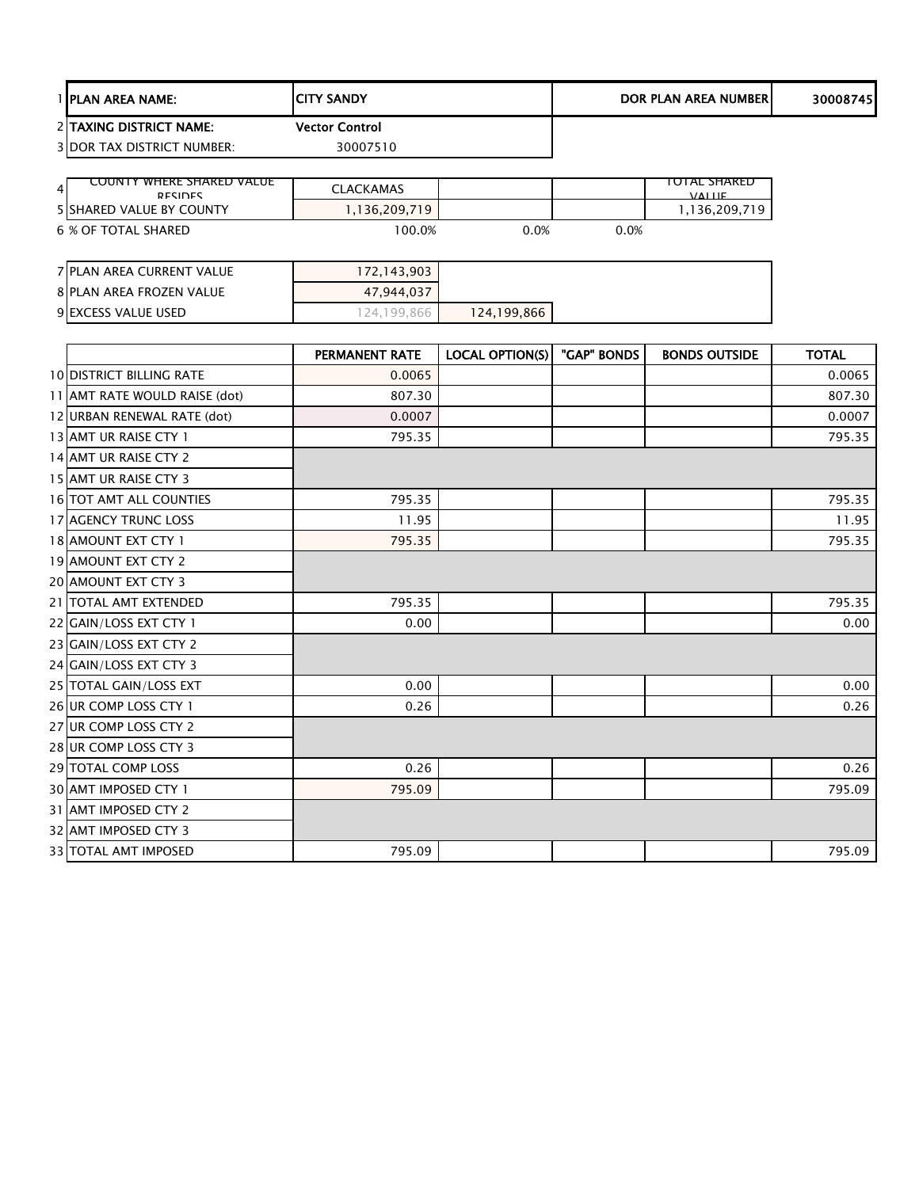| <b>I IPLAN AREA NAME:</b>         | <b>ICITY SANDY</b>    | DOR PLAN AREA NUMBERI | 30008745 |
|-----------------------------------|-----------------------|-----------------------|----------|
| 2 TAXING DISTRICT NAME:           | <b>Vector Control</b> |                       |          |
| <b>3 DOR TAX DISTRICT NUMBER:</b> | 30007510              |                       |          |
|                                   |                       |                       |          |

| COUNTY WHEKE SHAKED VALUE<br>4<br><b>DESIDES</b> | <b>CLACKAMAS</b> |         |      | IUTAL SHAKED.<br><b>VALLE</b> |
|--------------------------------------------------|------------------|---------|------|-------------------------------|
| <b>5 ISHARED VALUE BY COUNTY</b>                 | .136.209.719     |         |      | ,136,209,719                  |
| 6 % OF TOTAL SHARED                              | $00.0\%$         | $0.0\%$ | 0.0% |                               |

| 7 PLAN AREA CURRENT VALUE | 172,143,903 |             |  |
|---------------------------|-------------|-------------|--|
| 8 PLAN AREA FROZEN VALUE  | 47.944.037  |             |  |
| 9 EXCESS VALUE USED       | 24.199.866  | 124,199,866 |  |

|                                 | <b>PERMANENT RATE</b> | LOCAL OPTION(S) | "GAP" BONDS | <b>BONDS OUTSIDE</b> | <b>TOTAL</b> |
|---------------------------------|-----------------------|-----------------|-------------|----------------------|--------------|
| <b>10 DISTRICT BILLING RATE</b> | 0.0065                |                 |             |                      | 0.0065       |
| 11 AMT RATE WOULD RAISE (dot)   | 807.30                |                 |             |                      | 807.30       |
| 12 URBAN RENEWAL RATE (dot)     | 0.0007                |                 |             |                      | 0.0007       |
| 13 AMT UR RAISE CTY 1           | 795.35                |                 |             |                      | 795.35       |
| 14 AMT UR RAISE CTY 2           |                       |                 |             |                      |              |
| 15 AMT UR RAISE CTY 3           |                       |                 |             |                      |              |
| 16 TOT AMT ALL COUNTIES         | 795.35                |                 |             |                      | 795.35       |
| <b>17 AGENCY TRUNC LOSS</b>     | 11.95                 |                 |             |                      | 11.95        |
| 18 AMOUNT EXT CTY 1             | 795.35                |                 |             |                      | 795.35       |
| 19 AMOUNT EXT CTY 2             |                       |                 |             |                      |              |
| 20 AMOUNT EXT CTY 3             |                       |                 |             |                      |              |
| 21 TOTAL AMT EXTENDED           | 795.35                |                 |             |                      | 795.35       |
| 22 GAIN/LOSS EXT CTY 1          | 0.00                  |                 |             |                      | 0.00         |
| 23 GAIN/LOSS EXT CTY 2          |                       |                 |             |                      |              |
| 24 GAIN/LOSS EXT CTY 3          |                       |                 |             |                      |              |
| 25 TOTAL GAIN/LOSS EXT          | 0.00                  |                 |             |                      | 0.00         |
| 26 UR COMP LOSS CTY 1           | 0.26                  |                 |             |                      | 0.26         |
| 27 UR COMP LOSS CTY 2           |                       |                 |             |                      |              |
| 28 UR COMP LOSS CTY 3           |                       |                 |             |                      |              |
| 29 TOTAL COMP LOSS              | 0.26                  |                 |             |                      | 0.26         |
| 30 AMT IMPOSED CTY 1            | 795.09                |                 |             |                      | 795.09       |
| 31 AMT IMPOSED CTY 2            |                       |                 |             |                      |              |
| 32 AMT IMPOSED CTY 3            |                       |                 |             |                      |              |
| 33 TOTAL AMT IMPOSED            | 795.09                |                 |             |                      | 795.09       |